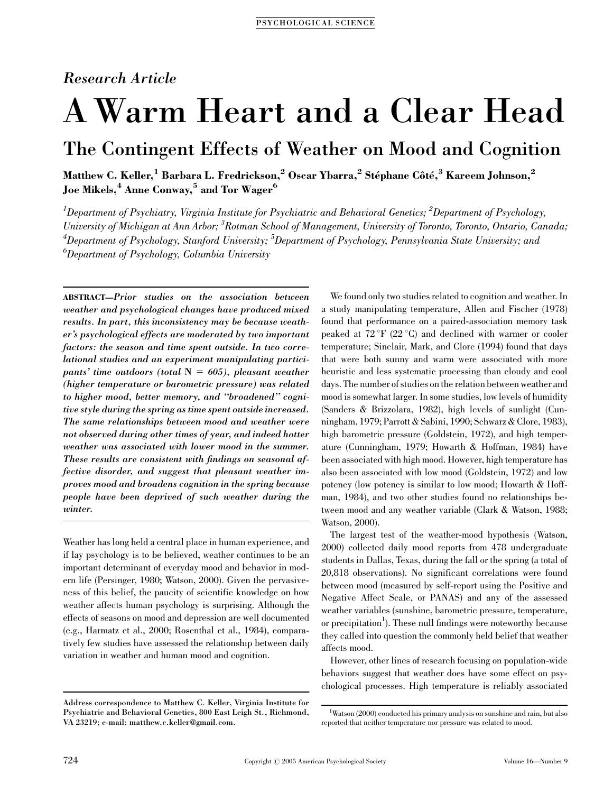### Research Article

# A Warm Heart and a Clear Head

## The Contingent Effects of Weather on Mood and Cognition

Matthew C. Keller, $^1$  Barbara L. Fredrickson, $^2$  Oscar Ybarra, $^2$  Stéphane Côté, $^3$  Kareem Johnson, $^2$ Joe Mikels,<sup>4</sup> Anne Conway,<sup>5</sup> and Tor Wager<sup>6</sup>

 $^1$ Department of Psychiatry, Virginia Institute for Psychiatric and Behavioral Genetics;  $^2$ Department of Psychology, University of Michigan at Ann Arbor; <sup>3</sup>Rotman School of Management, University of Toronto, Toronto, Ontario, Canada;  $^4$ Department of Psychology, Stanford University;  $^5$ Department of Psychology, Pennsylvania State University; and  $^6$ Department of Psychology, Columbia University

ABSTRACT—Prior studies on the association between weather and psychological changes have produced mixed results. In part, this inconsistency may be because weather's psychological effects are moderated by two important factors: the season and time spent outside. In two correlational studies and an experiment manipulating participants' time outdoors (total  $N = 605$ ), pleasant weather (higher temperature or barometric pressure) was related to higher mood, better memory, and ''broadened'' cognitive style during the spring as time spent outside increased. The same relationships between mood and weather were not observed during other times of year, and indeed hotter weather was associated with lower mood in the summer. These results are consistent with findings on seasonal affective disorder, and suggest that pleasant weather improves mood and broadens cognition in the spring because people have been deprived of such weather during the winter.

Weather has long held a central place in human experience, and if lay psychology is to be believed, weather continues to be an important determinant of everyday mood and behavior in modern life (Persinger, 1980; Watson, 2000). Given the pervasiveness of this belief, the paucity of scientific knowledge on how weather affects human psychology is surprising. Although the effects of seasons on mood and depression are well documented (e.g., Harmatz et al., 2000; Rosenthal et al., 1984), comparatively few studies have assessed the relationship between daily variation in weather and human mood and cognition.

We found only two studies related to cognition and weather. In a study manipulating temperature, Allen and Fischer (1978) found that performance on a paired-association memory task peaked at  $72 \text{ }^{\circ}$ F (22 $\text{ }^{\circ}$ C) and declined with warmer or cooler temperature; Sinclair, Mark, and Clore (1994) found that days that were both sunny and warm were associated with more heuristic and less systematic processing than cloudy and cool days. The number of studies on the relation between weather and mood is somewhat larger. In some studies, low levels of humidity (Sanders & Brizzolara, 1982), high levels of sunlight (Cunningham, 1979; Parrott & Sabini, 1990; Schwarz & Clore, 1983), high barometric pressure (Goldstein, 1972), and high temperature (Cunningham, 1979; Howarth & Hoffman, 1984) have been associated with high mood. However, high temperature has also been associated with low mood (Goldstein, 1972) and low potency (low potency is similar to low mood; Howarth & Hoffman, 1984), and two other studies found no relationships between mood and any weather variable (Clark & Watson, 1988; Watson, 2000).

The largest test of the weather-mood hypothesis (Watson, 2000) collected daily mood reports from 478 undergraduate students in Dallas, Texas, during the fall or the spring (a total of 20,818 observations). No significant correlations were found between mood (measured by self-report using the Positive and Negative Affect Scale, or PANAS) and any of the assessed weather variables (sunshine, barometric pressure, temperature, or precipitation<sup>1</sup>). These null findings were noteworthy because they called into question the commonly held belief that weather affects mood.

However, other lines of research focusing on population-wide behaviors suggest that weather does have some effect on psychological processes. High temperature is reliably associated

Address correspondence to Matthew C. Keller, Virginia Institute for Psychiatric and Behavioral Genetics, 800 East Leigh St., Richmond, VA 23219; e-mail: matthew.c.keller@gmail.com.

 $^1$ Watson (2000) conducted his primary analysis on sunshine and rain, but also reported that neither temperature nor pressure was related to mood.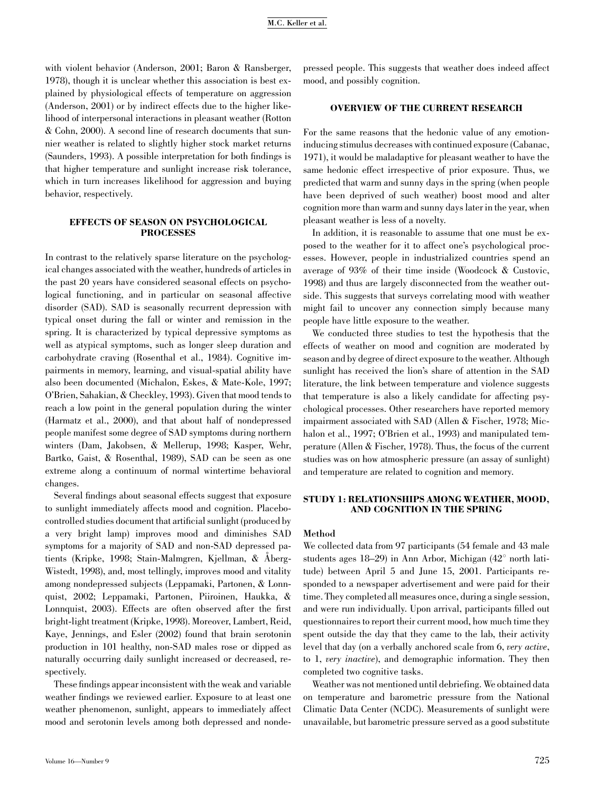with violent behavior (Anderson, 2001; Baron & Ransberger, 1978), though it is unclear whether this association is best explained by physiological effects of temperature on aggression (Anderson, 2001) or by indirect effects due to the higher likelihood of interpersonal interactions in pleasant weather (Rotton & Cohn, 2000). A second line of research documents that sunnier weather is related to slightly higher stock market returns (Saunders, 1993). A possible interpretation for both findings is that higher temperature and sunlight increase risk tolerance, which in turn increases likelihood for aggression and buying behavior, respectively.

#### EFFECTS OF SEASON ON PSYCHOLOGICAL PROCESSES

In contrast to the relatively sparse literature on the psychological changes associated with the weather, hundreds of articles in the past 20 years have considered seasonal effects on psychological functioning, and in particular on seasonal affective disorder (SAD). SAD is seasonally recurrent depression with typical onset during the fall or winter and remission in the spring. It is characterized by typical depressive symptoms as well as atypical symptoms, such as longer sleep duration and carbohydrate craving (Rosenthal et al., 1984). Cognitive impairments in memory, learning, and visual-spatial ability have also been documented (Michalon, Eskes, & Mate-Kole, 1997; O'Brien, Sahakian, & Checkley, 1993). Given that mood tends to reach a low point in the general population during the winter (Harmatz et al., 2000), and that about half of nondepressed people manifest some degree of SAD symptoms during northern winters (Dam, Jakobsen, & Mellerup, 1998; Kasper, Wehr, Bartko, Gaist, & Rosenthal, 1989), SAD can be seen as one extreme along a continuum of normal wintertime behavioral changes.

Several findings about seasonal effects suggest that exposure to sunlight immediately affects mood and cognition. Placebocontrolled studies document that artificial sunlight (produced by a very bright lamp) improves mood and diminishes SAD symptoms for a majority of SAD and non-SAD depressed patients (Kripke, 1998; Stain-Malmgren, Kjellman, & Åberg-Wistedt, 1998), and, most tellingly, improves mood and vitality among nondepressed subjects (Leppamaki, Partonen, & Lonnquist, 2002; Leppamaki, Partonen, Piiroinen, Haukka, & Lonnquist, 2003). Effects are often observed after the first bright-light treatment (Kripke, 1998). Moreover, Lambert, Reid, Kaye, Jennings, and Esler (2002) found that brain serotonin production in 101 healthy, non-SAD males rose or dipped as naturally occurring daily sunlight increased or decreased, respectively.

These findings appear inconsistent with the weak and variable weather findings we reviewed earlier. Exposure to at least one weather phenomenon, sunlight, appears to immediately affect mood and serotonin levels among both depressed and nondepressed people. This suggests that weather does indeed affect mood, and possibly cognition.

#### OVERVIEW OF THE CURRENT RESEARCH

For the same reasons that the hedonic value of any emotioninducing stimulus decreases with continued exposure (Cabanac, 1971), it would be maladaptive for pleasant weather to have the same hedonic effect irrespective of prior exposure. Thus, we predicted that warm and sunny days in the spring (when people have been deprived of such weather) boost mood and alter cognition more than warm and sunny days later in the year, when pleasant weather is less of a novelty.

In addition, it is reasonable to assume that one must be exposed to the weather for it to affect one's psychological processes. However, people in industrialized countries spend an average of 93% of their time inside (Woodcock & Custovic, 1998) and thus are largely disconnected from the weather outside. This suggests that surveys correlating mood with weather might fail to uncover any connection simply because many people have little exposure to the weather.

We conducted three studies to test the hypothesis that the effects of weather on mood and cognition are moderated by season and by degree of direct exposure to the weather. Although sunlight has received the lion's share of attention in the SAD literature, the link between temperature and violence suggests that temperature is also a likely candidate for affecting psychological processes. Other researchers have reported memory impairment associated with SAD (Allen & Fischer, 1978; Michalon et al., 1997; O'Brien et al., 1993) and manipulated temperature (Allen & Fischer, 1978). Thus, the focus of the current studies was on how atmospheric pressure (an assay of sunlight) and temperature are related to cognition and memory.

#### STUDY 1: RELATIONSHIPS AMONG WEATHER, MOOD, AND COGNITION IN THE SPRING

#### Method

We collected data from 97 participants (54 female and 43 male students ages 18–29) in Ann Arbor, Michigan  $(42^{\circ}$  north latitude) between April 5 and June 15, 2001. Participants responded to a newspaper advertisement and were paid for their time. They completed all measures once, during a single session, and were run individually. Upon arrival, participants filled out questionnaires to report their current mood, how much time they spent outside the day that they came to the lab, their activity level that day (on a verbally anchored scale from 6, very active, to 1, very inactive), and demographic information. They then completed two cognitive tasks.

Weather was not mentioned until debriefing. We obtained data on temperature and barometric pressure from the National Climatic Data Center (NCDC). Measurements of sunlight were unavailable, but barometric pressure served as a good substitute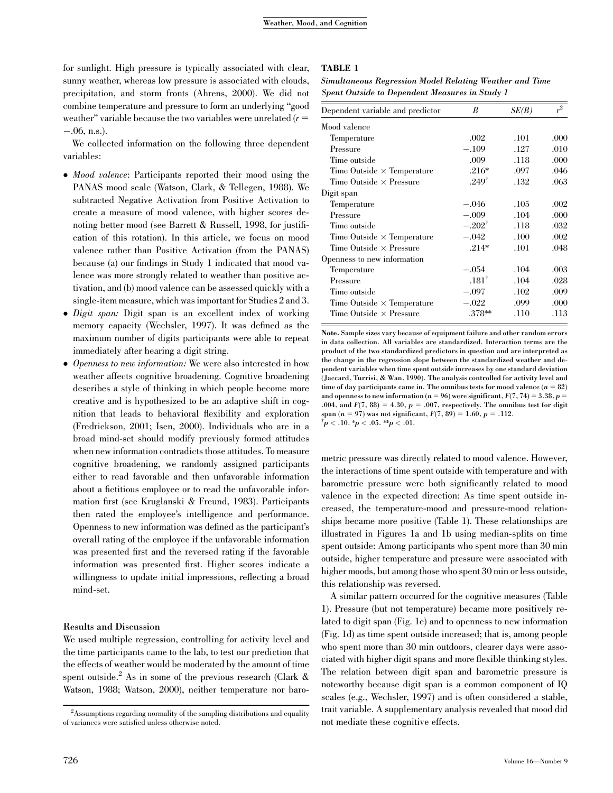for sunlight. High pressure is typically associated with clear, sunny weather, whereas low pressure is associated with clouds, precipitation, and storm fronts (Ahrens, 2000). We did not combine temperature and pressure to form an underlying ''good weather" variable because the two variables were unrelated  $(r =$  $-.06$ , n.s.).

We collected information on the following three dependent variables:

- Mood valence: Participants reported their mood using the PANAS mood scale (Watson, Clark, & Tellegen, 1988). We subtracted Negative Activation from Positive Activation to create a measure of mood valence, with higher scores denoting better mood (see Barrett & Russell, 1998, for justification of this rotation). In this article, we focus on mood valence rather than Positive Activation (from the PANAS) because (a) our findings in Study 1 indicated that mood valence was more strongly related to weather than positive activation, and (b) mood valence can be assessed quickly with a single-item measure, which was important for Studies 2 and 3.
- *Digit span:* Digit span is an excellent index of working memory capacity (Wechsler, 1997). It was defined as the maximum number of digits participants were able to repeat immediately after hearing a digit string.
- Openness to new information: We were also interested in how weather affects cognitive broadening. Cognitive broadening describes a style of thinking in which people become more creative and is hypothesized to be an adaptive shift in cognition that leads to behavioral flexibility and exploration (Fredrickson, 2001; Isen, 2000). Individuals who are in a broad mind-set should modify previously formed attitudes when new information contradicts those attitudes. To measure cognitive broadening, we randomly assigned participants either to read favorable and then unfavorable information about a fictitious employee or to read the unfavorable information first (see Kruglanski & Freund, 1983). Participants then rated the employee's intelligence and performance. Openness to new information was defined as the participant's overall rating of the employee if the unfavorable information was presented first and the reversed rating if the favorable information was presented first. Higher scores indicate a willingness to update initial impressions, reflecting a broad mind-set.

#### Results and Discussion

We used multiple regression, controlling for activity level and the time participants came to the lab, to test our prediction that the effects of weather would be moderated by the amount of time spent outside.<sup>2</sup> As in some of the previous research (Clark  $\&$ Watson, 1988; Watson, 2000), neither temperature nor baro-

#### TABLE 1

Simultaneous Regression Model Relating Weather and Time Spent Outside to Dependent Measures in Study 1

| Dependent variable and predictor  | В                 | SE(B) | $r^2$ |
|-----------------------------------|-------------------|-------|-------|
| Mood valence                      |                   |       |       |
| Temperature                       | .002              | .101  | .000  |
| Pressure                          | $-.109$           | .127  | .010  |
| Time outside                      | .009              | .118  | .000  |
| Time Outside $\times$ Temperature | $.216*$           | .097  | .046  |
| Time Outside $\times$ Pressure    | $.249^{\dagger}$  | .132  | .063  |
| Digit span                        |                   |       |       |
| Temperature                       | -.046             | .105  | .002  |
| Pressure                          | $-.009$           | .104  | .000  |
| Time outside                      | $-.202^{\dagger}$ | .118  | .032  |
| Time Outside $\times$ Temperature | $-.042$           | .100  | .002  |
| Time Outside $\times$ Pressure    | $.214*$           | .101  | .048  |
| Openness to new information       |                   |       |       |
| Temperature                       | $-.054$           | .104  | .003  |
| Pressure                          | $.181^{\dagger}$  | .104  | .028  |
| Time outside                      | $-.097$           | .102  | .009  |
| Time Outside $\times$ Temperature | $-.022$           | .099  | .000  |
| Time Outside $\times$ Pressure    | $.378**$          | .110  | .113  |

Note. Sample sizes vary because of equipment failure and other random errors in data collection. All variables are standardized. Interaction terms are the product of the two standardized predictors in question and are interpreted as the change in the regression slope between the standardized weather and dependent variables when time spent outside increases by one standard deviation (Jaccard, Turrisi, & Wan, 1990). The analysis controlled for activity level and time of day participants came in. The omnibus tests for mood valence  $(n = 82)$ and openness to new information ( $n = 96$ ) were significant,  $F(7, 74) = 3.38$ ,  $p =$ .004, and  $F(7, 88) = 4.30$ ,  $p = .007$ , respectively. The omnibus test for digit span (n = 97) was not significant,  $F(7, 89) = 1.60, p = .112$ .

 $p^{\dagger}$ p < .10. \*p < .05. \*\*p < .01.

metric pressure was directly related to mood valence. However, the interactions of time spent outside with temperature and with barometric pressure were both significantly related to mood valence in the expected direction: As time spent outside increased, the temperature-mood and pressure-mood relationships became more positive (Table 1). These relationships are illustrated in Figures 1a and 1b using median-splits on time spent outside: Among participants who spent more than 30 min outside, higher temperature and pressure were associated with higher moods, but among those who spent 30 min or less outside, this relationship was reversed.

A similar pattern occurred for the cognitive measures (Table 1). Pressure (but not temperature) became more positively related to digit span (Fig. 1c) and to openness to new information (Fig. 1d) as time spent outside increased; that is, among people who spent more than 30 min outdoors, clearer days were associated with higher digit spans and more flexible thinking styles. The relation between digit span and barometric pressure is noteworthy because digit span is a common component of IQ scales (e.g., Wechsler, 1997) and is often considered a stable, trait variable. A supplementary analysis revealed that mood did not mediate these cognitive effects.

 $2$ Assumptions regarding normality of the sampling distributions and equality of variances were satisfied unless otherwise noted.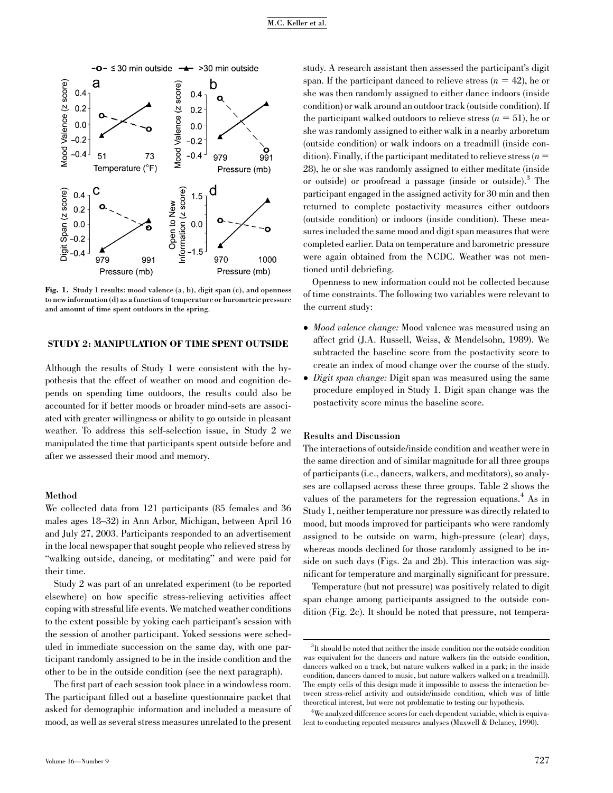

Fig. 1. Study 1 results: mood valence (a, b), digit span (c), and openness to new information (d) as a function of temperature or barometric pressure and amount of time spent outdoors in the spring.

#### STUDY 2: MANIPULATION OF TIME SPENT OUTSIDE

Although the results of Study 1 were consistent with the hypothesis that the effect of weather on mood and cognition depends on spending time outdoors, the results could also be accounted for if better moods or broader mind-sets are associated with greater willingness or ability to go outside in pleasant weather. To address this self-selection issue, in Study 2 we manipulated the time that participants spent outside before and after we assessed their mood and memory.

#### Method

We collected data from 121 participants (85 females and 36 males ages 18–32) in Ann Arbor, Michigan, between April 16 and July 27, 2003. Participants responded to an advertisement in the local newspaper that sought people who relieved stress by "walking outside, dancing, or meditating" and were paid for their time.

Study 2 was part of an unrelated experiment (to be reported elsewhere) on how specific stress-relieving activities affect coping with stressful life events. We matched weather conditions to the extent possible by yoking each participant's session with the session of another participant. Yoked sessions were scheduled in immediate succession on the same day, with one participant randomly assigned to be in the inside condition and the other to be in the outside condition (see the next paragraph).

The first part of each session took place in a windowless room. The participant filled out a baseline questionnaire packet that asked for demographic information and included a measure of mood, as well as several stress measures unrelated to the present study. A research assistant then assessed the participant's digit span. If the participant danced to relieve stress  $(n = 42)$ , he or she was then randomly assigned to either dance indoors (inside condition) or walk around an outdoor track (outside condition). If the participant walked outdoors to relieve stress  $(n = 51)$ , he or she was randomly assigned to either walk in a nearby arboretum (outside condition) or walk indoors on a treadmill (inside condition). Finally, if the participant meditated to relieve stress  $(n =$ 28), he or she was randomly assigned to either meditate (inside or outside) or proofread a passage (inside or outside).3 The participant engaged in the assigned activity for 30 min and then returned to complete postactivity measures either outdoors (outside condition) or indoors (inside condition). These measures included the same mood and digit span measures that were completed earlier. Data on temperature and barometric pressure were again obtained from the NCDC. Weather was not mentioned until debriefing.

Openness to new information could not be collected because of time constraints. The following two variables were relevant to the current study:

- Mood valence change: Mood valence was measured using an affect grid (J.A. Russell, Weiss, & Mendelsohn, 1989). We subtracted the baseline score from the postactivity score to create an index of mood change over the course of the study.
- *Digit span change*: Digit span was measured using the same procedure employed in Study 1. Digit span change was the postactivity score minus the baseline score.

#### Results and Discussion

The interactions of outside/inside condition and weather were in the same direction and of similar magnitude for all three groups of participants (i.e., dancers, walkers, and meditators), so analyses are collapsed across these three groups. Table 2 shows the values of the parameters for the regression equations.<sup>4</sup> As in Study 1, neither temperature nor pressure was directly related to mood, but moods improved for participants who were randomly assigned to be outside on warm, high-pressure (clear) days, whereas moods declined for those randomly assigned to be inside on such days (Figs. 2a and 2b). This interaction was significant for temperature and marginally significant for pressure.

Temperature (but not pressure) was positively related to digit span change among participants assigned to the outside condition (Fig. 2c). It should be noted that pressure, not tempera-

 ${}^{3}$ It should be noted that neither the inside condition nor the outside condition was equivalent for the dancers and nature walkers (in the outside condition, dancers walked on a track, but nature walkers walked in a park; in the inside condition, dancers danced to music, but nature walkers walked on a treadmill). The empty cells of this design made it impossible to assess the interaction between stress-relief activity and outside/inside condition, which was of little theoretical interest, but were not problematic to testing our hypothesis.

 ${}^{4}\mathrm{We}$  analyzed difference scores for each dependent variable, which is equivalent to conducting repeated measures analyses (Maxwell & Delaney, 1990).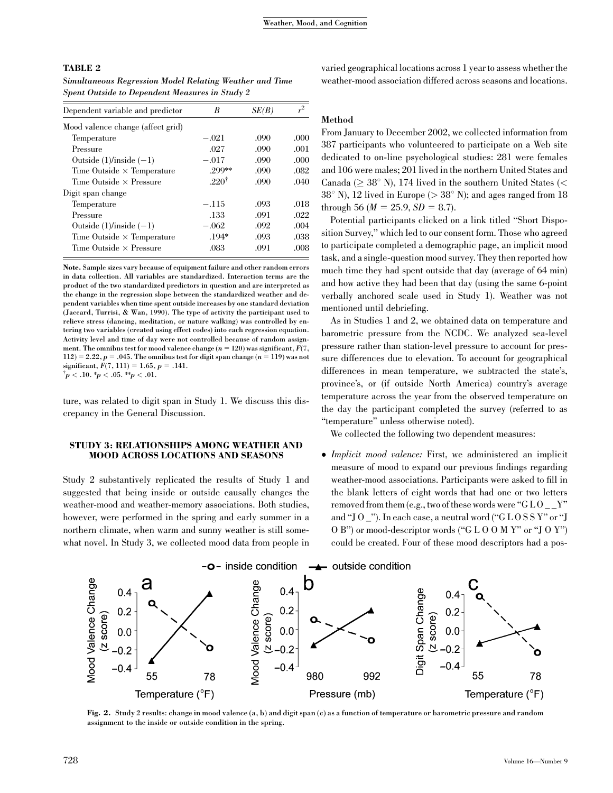#### TABLE 2

Simultaneous Regression Model Relating Weather and Time Spent Outside to Dependent Measures in Study 2

| Dependent variable and predictor  | B                | SE(B) | $r^2$ |
|-----------------------------------|------------------|-------|-------|
| Mood valence change (affect grid) |                  |       |       |
| Temperature                       | $-.021$          | .090  | .000  |
| Pressure                          | .027             | .090  | .001  |
| Outside $(1)/$ inside $(-1)$      | $-.017$          | .090  | .000  |
| Time Outside $\times$ Temperature | 299**            | .090  | .082  |
| Time Outside $\times$ Pressure    | $.220^{\dagger}$ | .090  | .040  |
| Digit span change                 |                  |       |       |
| Temperature                       | $-.115$          | .093  | .018  |
| Pressure                          | .133             | .091  | .022  |
| Outside $(1)/$ inside $(-1)$      | $-.062$          | .092  | .004  |
| Time Outside $\times$ Temperature | $.194*$          | .093  | .038  |
| Time Outside $\times$ Pressure    | .083             | .091  | .008  |
|                                   |                  |       |       |

Note. Sample sizes vary because of equipment failure and other random errors in data collection. All variables are standardized. Interaction terms are the product of the two standardized predictors in question and are interpreted as the change in the regression slope between the standardized weather and dependent variables when time spent outside increases by one standard deviation (Jaccard, Turrisi, & Wan, 1990). The type of activity the participant used to relieve stress (dancing, meditation, or nature walking) was controlled by entering two variables (created using effect codes) into each regression equation. Activity level and time of day were not controlled because of random assignment. The omnibus test for mood valence change ( $n = 120$ ) was significant,  $F(7, 6)$  $112) = 2.22, p = .045.$  The omnibus test for digit span change ( $n = 119$ ) was not significant,  $F(7, 111) = 1.65$ ,  $p = .141$ .  $\mu^{\dagger} p < .10.$  \* $p < .05.$  \*\* $p < .01.$ 

ture, was related to digit span in Study 1. We discuss this discrepancy in the General Discussion.

#### STUDY 3: RELATIONSHIPS AMONG WEATHER AND MOOD ACROSS LOCATIONS AND SEASONS

Study 2 substantively replicated the results of Study 1 and suggested that being inside or outside causally changes the weather-mood and weather-memory associations. Both studies, however, were performed in the spring and early summer in a northern climate, when warm and sunny weather is still somewhat novel. In Study 3, we collected mood data from people in varied geographical locations across 1 year to assess whether the weather-mood association differed across seasons and locations.

#### Method

From January to December 2002, we collected information from 387 participants who volunteered to participate on a Web site dedicated to on-line psychological studies: 281 were females and 106 were males; 201 lived in the northern United States and Canada ( $\geq 38^{\circ}$  N), 174 lived in the southern United States (<  $38^{\circ}$  N), 12 lived in Europe ( $> 38^{\circ}$  N); and ages ranged from 18 through 56 ( $M = 25.9$ ,  $SD = 8.7$ ).

Potential participants clicked on a link titled ''Short Disposition Survey,'' which led to our consent form. Those who agreed to participate completed a demographic page, an implicit mood task, and a single-question mood survey. They then reported how much time they had spent outside that day (average of 64 min) and how active they had been that day (using the same 6-point verbally anchored scale used in Study 1). Weather was not mentioned until debriefing.

As in Studies 1 and 2, we obtained data on temperature and barometric pressure from the NCDC. We analyzed sea-level pressure rather than station-level pressure to account for pressure differences due to elevation. To account for geographical differences in mean temperature, we subtracted the state's, province's, or (if outside North America) country's average temperature across the year from the observed temperature on the day the participant completed the survey (referred to as ''temperature'' unless otherwise noted).

We collected the following two dependent measures:

• Implicit mood valence: First, we administered an implicit measure of mood to expand our previous findings regarding weather-mood associations. Participants were asked to fill in the blank letters of eight words that had one or two letters removed from them (e.g., two of these words were " $G$  L O  $Y$ " and ''J O \_''). In each case, a neutral word (''G L O S S Y'' or ''J O B'') or mood-descriptor words (''G L O O M Y'' or ''J O Y'') could be created. Four of these mood descriptors had a pos-



Fig. 2. Study 2 results: change in mood valence (a, b) and digit span (c) as a function of temperature or barometric pressure and random assignment to the inside or outside condition in the spring.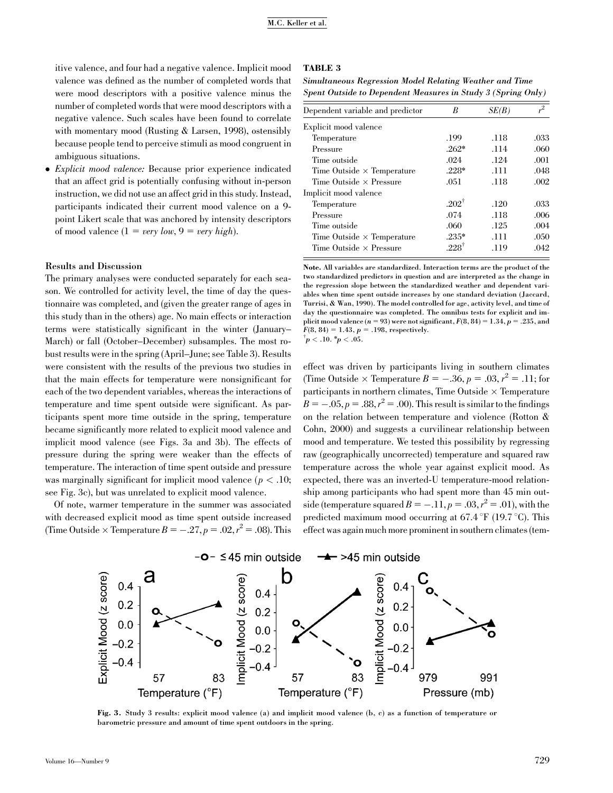itive valence, and four had a negative valence. Implicit mood valence was defined as the number of completed words that were mood descriptors with a positive valence minus the number of completed words that were mood descriptors with a negative valence. Such scales have been found to correlate with momentary mood (Rusting & Larsen, 1998), ostensibly because people tend to perceive stimuli as mood congruent in ambiguous situations.

- Explicit mood valence: Because prior experience indicated that an affect grid is potentially confusing without in-person instruction, we did not use an affect grid in this study. Instead, participants indicated their current mood valence on a 9 point Likert scale that was anchored by intensity descriptors of mood valence  $(1 = very low, 9 = very high).$ 

#### Results and Discussion

The primary analyses were conducted separately for each season. We controlled for activity level, the time of day the questionnaire was completed, and (given the greater range of ages in this study than in the others) age. No main effects or interaction terms were statistically significant in the winter (January– March) or fall (October–December) subsamples. The most robust results were in the spring (April–June; see Table 3). Results were consistent with the results of the previous two studies in that the main effects for temperature were nonsignificant for each of the two dependent variables, whereas the interactions of temperature and time spent outside were significant. As participants spent more time outside in the spring, temperature became significantly more related to explicit mood valence and implicit mood valence (see Figs. 3a and 3b). The effects of pressure during the spring were weaker than the effects of temperature. The interaction of time spent outside and pressure was marginally significant for implicit mood valence ( $p < .10$ ; see Fig. 3c), but was unrelated to explicit mood valence.

Of note, warmer temperature in the summer was associated with decreased explicit mood as time spent outside increased (Time Outside  $\times$  Temperature  $B = -.27, p = .02, r^2 = .08$ ). This

#### TABLE 3

Simultaneous Regression Model Relating Weather and Time Spent Outside to Dependent Measures in Study 3 (Spring Only)

| Dependent variable and predictor  | B                | SE(B) | $r^2$ |
|-----------------------------------|------------------|-------|-------|
| Explicit mood valence             |                  |       |       |
| Temperature                       | .199             | .118  | .033  |
| Pressure                          | $.262*$          | .114  | .060  |
| Time outside                      | .024             | .124  | .001  |
| Time Outside $\times$ Temperature | $.228*$          | .111  | .048  |
| Time Outside $\times$ Pressure    | .051             | .118  | .002  |
| Implicit mood valence             |                  |       |       |
| Temperature                       | $-202^{\dagger}$ | .120  | .033  |
| Pressure                          | .074             | .118  | .006  |
| Time outside                      | .060             | .125  | .004  |
| Time Outside $\times$ Temperature | $.235*$          | .111  | .050  |
| Time Outside $\times$ Pressure    | $228^{\dagger}$  | .119  | .042  |

Note. All variables are standardized. Interaction terms are the product of the two standardized predictors in question and are interpreted as the change in the regression slope between the standardized weather and dependent variables when time spent outside increases by one standard deviation (Jaccard, Turrisi, & Wan, 1990). The model controlled for age, activity level, and time of day the questionnaire was completed. The omnibus tests for explicit and implicit mood valence  $(n = 93)$  were not significant,  $F(8, 84) = 1.34$ ,  $p = .235$ , and  $F(8, 84) = 1.43, p = .198$ , respectively.

 $\mu^{\dagger}$ p < .10. \*p < .05.

effect was driven by participants living in southern climates (Time Outside  $\times$  Temperature  $B = -.36, p = .03, r^2 = .11$ ; for participants in northern climates, Time Outside  $\times$  Temperature  $B = -.05, p = .88, r^2 = .00$ ). This result is similar to the findings on the relation between temperature and violence (Rotton & Cohn, 2000) and suggests a curvilinear relationship between mood and temperature. We tested this possibility by regressing raw (geographically uncorrected) temperature and squared raw temperature across the whole year against explicit mood. As expected, there was an inverted-U temperature-mood relationship among participants who had spent more than 45 min outside (temperature squared  $B = -.11, p = .03, r^2 = .01$ ), with the predicted maximum mood occurring at  $67.4 \degree F$  (19.7  $\degree C$ ). This effect was again much more prominent in southern climates (tem-



Fig. 3. Study 3 results: explicit mood valence (a) and implicit mood valence (b, c) as a function of temperature or barometric pressure and amount of time spent outdoors in the spring.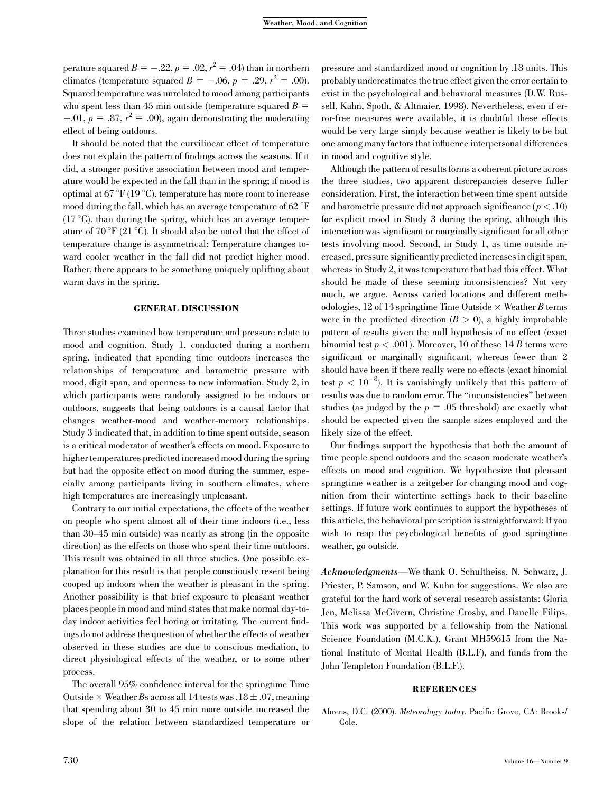perature squared  $B = -.22$ ,  $p = .02$ ,  $r^2 = .04$ ) than in northern climates (temperature squared  $B = -.06$ ,  $p = .29$ ,  $r^2 = .00$ ). Squared temperature was unrelated to mood among participants who spent less than 45 min outside (temperature squared  $B =$  $-0.01, p = .87, r<sup>2</sup> = .00$ , again demonstrating the moderating effect of being outdoors.

It should be noted that the curvilinear effect of temperature does not explain the pattern of findings across the seasons. If it did, a stronger positive association between mood and temperature would be expected in the fall than in the spring; if mood is optimal at  $67 \text{ }^{\circ}F (19 \text{ }^{\circ}C)$ , temperature has more room to increase mood during the fall, which has an average temperature of  $62^{\circ}$ F  $(17 \degree C)$ , than during the spring, which has an average temperature of 70  $\rm \degree F$  (21  $\rm \degree C$ ). It should also be noted that the effect of temperature change is asymmetrical: Temperature changes toward cooler weather in the fall did not predict higher mood. Rather, there appears to be something uniquely uplifting about warm days in the spring.

#### GENERAL DISCUSSION

Three studies examined how temperature and pressure relate to mood and cognition. Study 1, conducted during a northern spring, indicated that spending time outdoors increases the relationships of temperature and barometric pressure with mood, digit span, and openness to new information. Study 2, in which participants were randomly assigned to be indoors or outdoors, suggests that being outdoors is a causal factor that changes weather-mood and weather-memory relationships. Study 3 indicated that, in addition to time spent outside, season is a critical moderator of weather's effects on mood. Exposure to higher temperatures predicted increased mood during the spring but had the opposite effect on mood during the summer, especially among participants living in southern climates, where high temperatures are increasingly unpleasant.

Contrary to our initial expectations, the effects of the weather on people who spent almost all of their time indoors (i.e., less than 30–45 min outside) was nearly as strong (in the opposite direction) as the effects on those who spent their time outdoors. This result was obtained in all three studies. One possible explanation for this result is that people consciously resent being cooped up indoors when the weather is pleasant in the spring. Another possibility is that brief exposure to pleasant weather places people in mood and mind states that make normal day-today indoor activities feel boring or irritating. The current findings do not address the question of whether the effects of weather observed in these studies are due to conscious mediation, to direct physiological effects of the weather, or to some other process.

The overall 95% confidence interval for the springtime Time Outside  $\times$  Weather Bs across all 14 tests was .18  $\pm$  .07, meaning that spending about 30 to 45 min more outside increased the slope of the relation between standardized temperature or

pressure and standardized mood or cognition by .18 units. This probably underestimates the true effect given the error certain to exist in the psychological and behavioral measures (D.W. Russell, Kahn, Spoth, & Altmaier, 1998). Nevertheless, even if error-free measures were available, it is doubtful these effects would be very large simply because weather is likely to be but one among many factors that influence interpersonal differences in mood and cognitive style.

Although the pattern of results forms a coherent picture across the three studies, two apparent discrepancies deserve fuller consideration. First, the interaction between time spent outside and barometric pressure did not approach significance ( $p < .10$ ) for explicit mood in Study 3 during the spring, although this interaction was significant or marginally significant for all other tests involving mood. Second, in Study 1, as time outside increased, pressure significantly predicted increases in digit span, whereas in Study 2, it was temperature that had this effect. What should be made of these seeming inconsistencies? Not very much, we argue. Across varied locations and different methodologies, 12 of 14 springtime Time Outside  $\times$  Weather B terms were in the predicted direction  $(B > 0)$ , a highly improbable pattern of results given the null hypothesis of no effect (exact binomial test  $p < .001$ ). Moreover, 10 of these 14 B terms were significant or marginally significant, whereas fewer than 2 should have been if there really were no effects (exact binomial test  $p < 10^{-8}$ ). It is vanishingly unlikely that this pattern of results was due to random error. The ''inconsistencies'' between studies (as judged by the  $p = .05$  threshold) are exactly what should be expected given the sample sizes employed and the likely size of the effect.

Our findings support the hypothesis that both the amount of time people spend outdoors and the season moderate weather's effects on mood and cognition. We hypothesize that pleasant springtime weather is a zeitgeber for changing mood and cognition from their wintertime settings back to their baseline settings. If future work continues to support the hypotheses of this article, the behavioral prescription is straightforward: If you wish to reap the psychological benefits of good springtime weather, go outside.

Acknowledgments—We thank O. Schultheiss, N. Schwarz, J. Priester, P. Samson, and W. Kuhn for suggestions. We also are grateful for the hard work of several research assistants: Gloria Jen, Melissa McGivern, Christine Crosby, and Danelle Filips. This work was supported by a fellowship from the National Science Foundation (M.C.K.), Grant MH59615 from the National Institute of Mental Health (B.L.F), and funds from the John Templeton Foundation (B.L.F.).

#### REFERENCES

Ahrens, D.C. (2000). Meteorology today. Pacific Grove, CA: Brooks/ Cole.